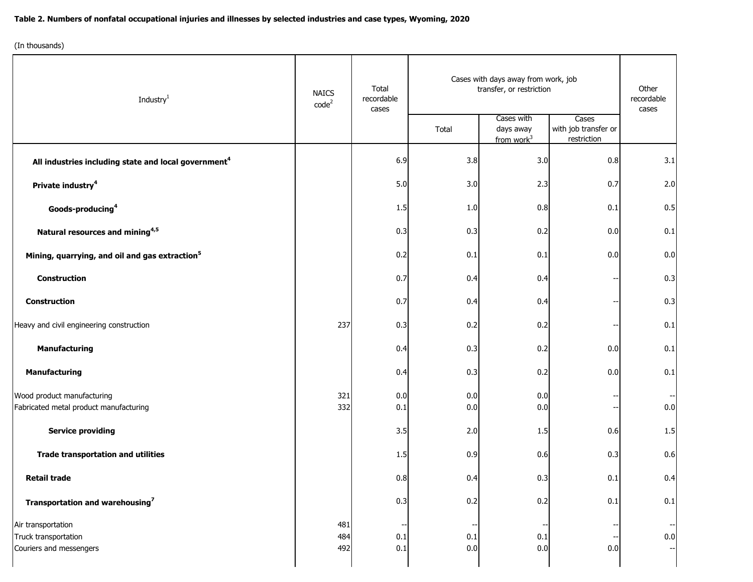## **Table 2. Numbers of nonfatal occupational injuries and illnesses by selected industries and case types, Wyoming, 2020**

(In thousands)

| Industry <sup>1</sup>                                                 | <b>NAICS</b><br>code <sup>2</sup> | Total<br>recordable<br>cases | Cases with days away from work, job<br>transfer, or restriction |                                                   |                                              | Other<br>recordable<br>cases |
|-----------------------------------------------------------------------|-----------------------------------|------------------------------|-----------------------------------------------------------------|---------------------------------------------------|----------------------------------------------|------------------------------|
|                                                                       |                                   |                              | Total                                                           | Cases with<br>days away<br>from work <sup>3</sup> | Cases<br>with job transfer or<br>restriction |                              |
| All industries including state and local government <sup>4</sup>      |                                   | 6.9                          | 3.8                                                             | 3.0                                               | 0.8                                          | 3.1                          |
| Private industry <sup>4</sup>                                         |                                   | 5.0                          | 3.0                                                             | 2.3                                               | 0.7                                          | 2.0                          |
| Goods-producing <sup>4</sup>                                          |                                   | 1.5                          | 1.0                                                             | 0.8                                               | 0.1                                          | 0.5                          |
| Natural resources and mining <sup>4,5</sup>                           |                                   | 0.3                          | 0.3                                                             | 0.2                                               | 0.0                                          | 0.1                          |
| Mining, quarrying, and oil and gas extraction <sup>5</sup>            |                                   | 0.2                          | 0.1                                                             | 0.1                                               | 0.0                                          | 0.0                          |
| <b>Construction</b>                                                   |                                   | 0.7                          | 0.4                                                             | 0.4                                               |                                              | 0.3                          |
| <b>Construction</b>                                                   |                                   | 0.7                          | 0.4                                                             | 0.4                                               |                                              | 0.3                          |
| Heavy and civil engineering construction                              | 237                               | 0.3                          | 0.2                                                             | 0.2                                               |                                              | 0.1                          |
| <b>Manufacturing</b>                                                  |                                   | 0.4                          | 0.3                                                             | 0.2                                               | 0.0                                          | 0.1                          |
| <b>Manufacturing</b>                                                  |                                   | 0.4                          | 0.3                                                             | 0.2                                               | 0.0                                          | 0.1                          |
| Wood product manufacturing<br>Fabricated metal product manufacturing  | 321<br>332                        | 0.0<br>0.1                   | 0.0<br>0.0                                                      | 0.0<br>0.0                                        |                                              | 0.0                          |
| <b>Service providing</b>                                              |                                   | 3.5                          | 2.0                                                             | 1.5                                               | 0.6                                          | 1.5                          |
| <b>Trade transportation and utilities</b>                             |                                   | 1.5                          | 0.9                                                             | 0.6                                               | 0.3                                          | 0.6                          |
|                                                                       |                                   | 0.8                          | 0.4                                                             | 0.3                                               |                                              |                              |
| <b>Retail trade</b>                                                   |                                   |                              |                                                                 |                                                   | 0.1                                          | 0.4                          |
| Transportation and warehousing <sup>7</sup>                           |                                   | 0.3                          | 0.2                                                             | 0.2                                               | $0.1\,$                                      | 0.1                          |
| Air transportation<br>Truck transportation<br>Couriers and messengers | 481<br>484<br>492                 | 0.1<br>0.1                   | 0.1<br>0.0                                                      | 0.1<br>0.0                                        | 0.0                                          | 0.0                          |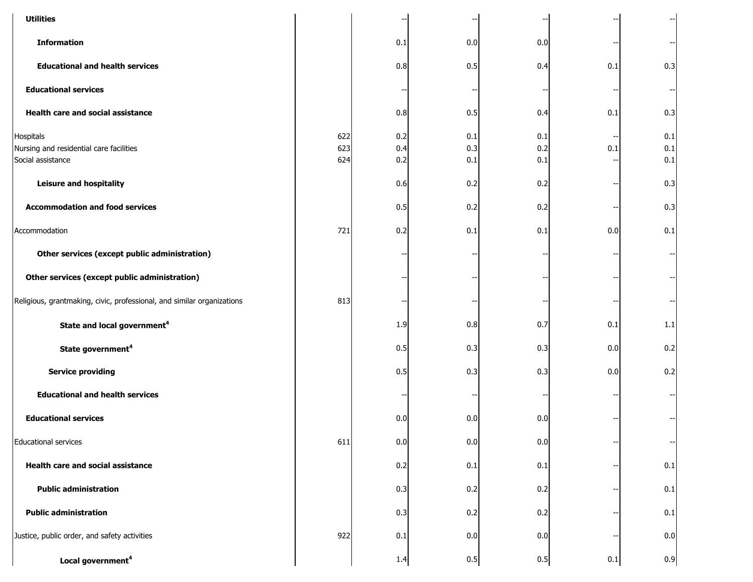| <b>Utilities</b>                                                          |                   |                   |                   |                   |     |                       |
|---------------------------------------------------------------------------|-------------------|-------------------|-------------------|-------------------|-----|-----------------------|
| <b>Information</b>                                                        |                   | 0.1               | 0.0               | 0.0               |     |                       |
| <b>Educational and health services</b>                                    |                   | 0.8               | 0.5               | 0.4               | 0.1 | 0.3                   |
| <b>Educational services</b>                                               |                   |                   |                   |                   |     |                       |
| Health care and social assistance                                         |                   | 0.8               | 0.5               | 0.4               | 0.1 | 0.3                   |
| Hospitals<br>Nursing and residential care facilities<br>Social assistance | 622<br>623<br>624 | 0.2<br>0.4<br>0.2 | 0.1<br>0.3<br>0.1 | 0.1<br>0.2<br>0.1 | 0.1 | 0.1<br>$0.1\,$<br>0.1 |
| <b>Leisure and hospitality</b>                                            |                   | 0.6               | 0.2               | 0.2               |     | 0.3                   |
| <b>Accommodation and food services</b>                                    |                   | 0.5               | 0.2               | 0.2               |     | 0.3                   |
| Accommodation                                                             | 721               | 0.2               | 0.1               | 0.1               | 0.0 | 0.1                   |
| Other services (except public administration)                             |                   |                   |                   |                   |     |                       |
| Other services (except public administration)                             |                   |                   |                   |                   |     |                       |
| Religious, grantmaking, civic, professional, and similar organizations    | 813               |                   |                   |                   |     |                       |
| State and local government <sup>4</sup>                                   |                   | 1.9               | 0.8               | 0.7               | 0.1 | 1.1                   |
| State government <sup>4</sup>                                             |                   | 0.5               | 0.3               | 0.3               | 0.0 | 0.2                   |
| <b>Service providing</b>                                                  |                   | 0.5               | 0.3               | 0.3               | 0.0 | 0.2                   |
| <b>Educational and health services</b>                                    |                   |                   |                   |                   |     |                       |
| <b>Educational services</b>                                               |                   | 0.0               | 0.0               | 0.0               |     |                       |
| <b>Educational services</b>                                               | 611               | 0.0               | 0.0               | 0.0               |     |                       |
| <b>Health care and social assistance</b>                                  |                   | 0.2               | 0.1               | 0.1               |     | 0.1                   |
| <b>Public administration</b>                                              |                   | 0.3               | 0.2               | 0.2               |     | 0.1                   |
| <b>Public administration</b>                                              |                   | 0.3               | 0.2               | 0.2               |     | 0.1                   |
| Justice, public order, and safety activities                              | 922               | 0.1               | 0.0               | 0.0               |     | 0.0                   |
| Local government <sup>4</sup>                                             |                   | 1.4               | 0.5               | 0.5               | 0.1 | 0.9                   |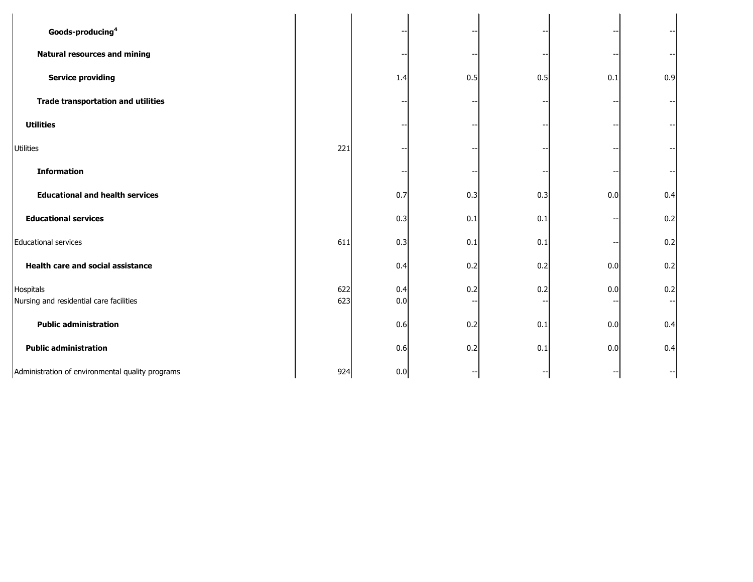| Goods-producing <sup>4</sup>                         |            |            |     |     |     |     |  |
|------------------------------------------------------|------------|------------|-----|-----|-----|-----|--|
| <b>Natural resources and mining</b>                  |            |            |     |     |     |     |  |
| <b>Service providing</b>                             |            | 1.4        | 0.5 | 0.5 | 0.1 | 0.9 |  |
| <b>Trade transportation and utilities</b>            |            |            |     |     |     |     |  |
| <b>Utilities</b>                                     |            |            |     |     |     |     |  |
| <b>Utilities</b>                                     | 221        |            |     |     |     |     |  |
| <b>Information</b>                                   |            |            |     |     |     |     |  |
| <b>Educational and health services</b>               |            | 0.7        | 0.3 | 0.3 | 0.0 | 0.4 |  |
| <b>Educational services</b>                          |            | 0.3        | 0.1 | 0.1 |     | 0.2 |  |
| <b>Educational services</b>                          | 611        | 0.3        | 0.1 | 0.1 |     | 0.2 |  |
| <b>Health care and social assistance</b>             |            | 0.4        | 0.2 | 0.2 | 0.0 | 0.2 |  |
| Hospitals<br>Nursing and residential care facilities | 622<br>623 | 0.4<br>0.0 | 0.2 | 0.2 | 0.0 | 0.2 |  |
| <b>Public administration</b>                         |            | 0.6        | 0.2 | 0.1 | 0.0 | 0.4 |  |
| <b>Public administration</b>                         |            | 0.6        | 0.2 | 0.1 | 0.0 | 0.4 |  |
| Administration of environmental quality programs     | 924        | 0.0        |     |     |     |     |  |